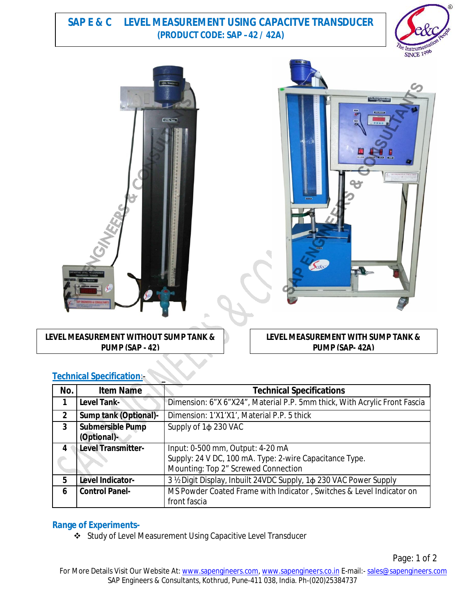## **SAP E & C LEVEL MEASUREMENT USING CAPACITVE TRANSDUCER (PRODUCT CODE: SAP –42 / 42A)**







**LEVEL MEASUREMENT WITHOUT SUMP TANK & PUMP (SAP - 42)**

**LEVEL MEASUREMENT WITH SUMP TANK & PUMP (SAP- 42A)**

| No.            | <b>Item Name</b>             | <b>Technical Specifications</b>                                           |
|----------------|------------------------------|---------------------------------------------------------------------------|
|                | Level Tank-                  | Dimension: 6"X 6"X24", Material P.P. 5mm thick, With Acrylic Front Fascia |
| $\overline{2}$ | <b>Sump tank (Optional)-</b> | Dimension: 1'X1'X1', Material P.P. 5 thick                                |
| 3              | <b>Submersible Pump</b>      | Supply of 1 $\phi$ 230 VAC                                                |
|                | (Optional)-                  |                                                                           |
| 4              | Level Transmitter-           | Input: 0-500 mm, Output: 4-20 mA                                          |
|                |                              | Supply: 24 V DC, 100 mA. Type: 2-wire Capacitance Type.                   |
|                |                              | Mounting: Top 2" Screwed Connection                                       |
| 5              | Level Indicator-             | 3 ½ Digit Display, Inbuilt 24VDC Supply, 1 $\phi$ 230 VAC Power Supply    |
| 6              | <b>Control Panel-</b>        | MS Powder Coated Frame with Indicator, Switches & Level Indicator on      |
|                |                              | front fascia                                                              |

### **Technical Specification**:-

### **Range of Experiments-**

Study of Level Measurement Using Capacitive Level Transducer